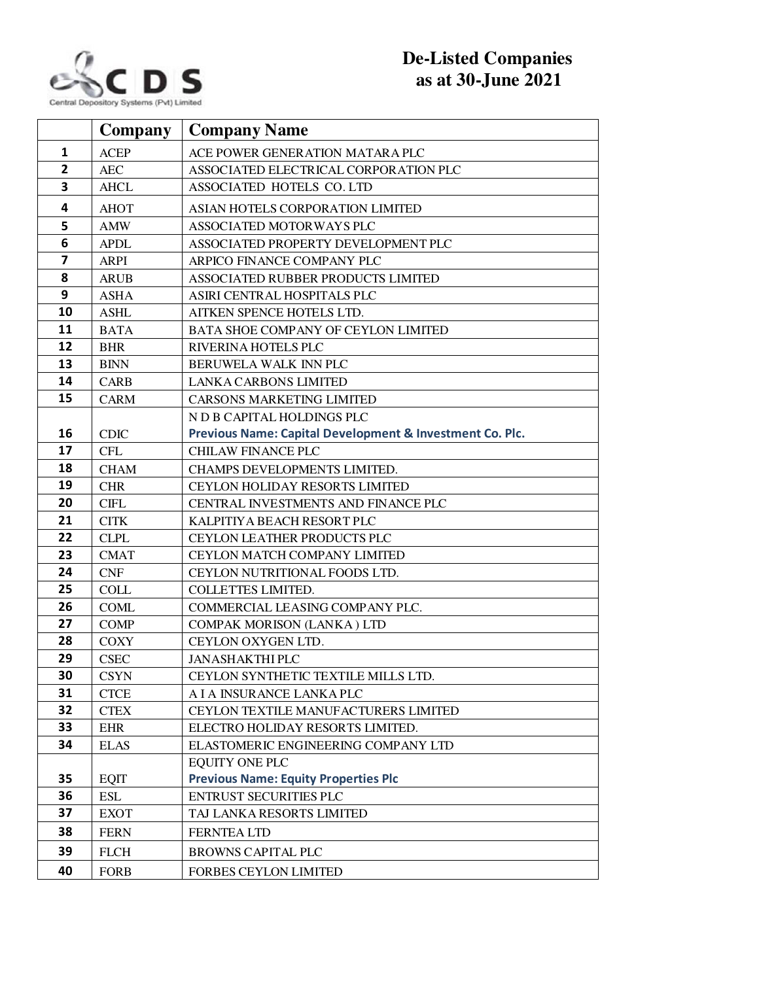

## **De-Listed Companies as at 30-June 2021**

|                | <b>Company</b>            | <b>Company Name</b>                                                  |
|----------------|---------------------------|----------------------------------------------------------------------|
| $\mathbf{1}$   | <b>ACEP</b>               | ACE POWER GENERATION MATARA PLC                                      |
| $\overline{2}$ | <b>AEC</b>                | ASSOCIATED ELECTRICAL CORPORATION PLC                                |
| 3              | <b>AHCL</b>               | ASSOCIATED HOTELS CO. LTD                                            |
| 4              | <b>AHOT</b>               | ASIAN HOTELS CORPORATION LIMITED                                     |
| 5              | <b>AMW</b>                | ASSOCIATED MOTORWAYS PLC                                             |
| 6              | <b>APDL</b>               | ASSOCIATED PROPERTY DEVELOPMENT PLC                                  |
| $\overline{7}$ | <b>ARPI</b>               | ARPICO FINANCE COMPANY PLC                                           |
| 8              | <b>ARUB</b>               | ASSOCIATED RUBBER PRODUCTS LIMITED                                   |
| 9              | <b>ASHA</b>               | ASIRI CENTRAL HOSPITALS PLC                                          |
| 10             | <b>ASHL</b>               | AITKEN SPENCE HOTELS LTD.                                            |
| 11             | <b>BATA</b>               | BATA SHOE COMPANY OF CEYLON LIMITED                                  |
| 12             | <b>BHR</b>                | RIVERINA HOTELS PLC                                                  |
| 13             | <b>BINN</b>               | BERUWELA WALK INN PLC                                                |
| 14             | <b>CARB</b>               | <b>LANKA CARBONS LIMITED</b>                                         |
| 15             | <b>CARM</b>               | <b>CARSONS MARKETING LIMITED</b>                                     |
|                |                           | N D B CAPITAL HOLDINGS PLC                                           |
| 16             | <b>CDIC</b>               | Previous Name: Capital Development & Investment Co. Plc.             |
| 17             | <b>CFL</b>                | <b>CHILAW FINANCE PLC</b>                                            |
| 18             | <b>CHAM</b>               | CHAMPS DEVELOPMENTS LIMITED.                                         |
| 19             | <b>CHR</b>                | CEYLON HOLIDAY RESORTS LIMITED                                       |
| 20             | <b>CIFL</b>               | CENTRAL INVESTMENTS AND FINANCE PLC                                  |
| 21             | <b>CITK</b>               | KALPITIYA BEACH RESORT PLC                                           |
| 22             | <b>CLPL</b>               | CEYLON LEATHER PRODUCTS PLC                                          |
| 23             | <b>CMAT</b>               | <b>CEYLON MATCH COMPANY LIMITED</b>                                  |
| 24             | <b>CNF</b>                | CEYLON NUTRITIONAL FOODS LTD.                                        |
| 25             | <b>COLL</b>               | COLLETTES LIMITED.                                                   |
| 26             | <b>COML</b>               | COMMERCIAL LEASING COMPANY PLC.                                      |
| 27             | <b>COMP</b>               | COMPAK MORISON (LANKA) LTD                                           |
| 28             | <b>COXY</b>               | CEYLON OXYGEN LTD.                                                   |
| 29             | <b>CSEC</b>               | <b>JANASHAKTHI PLC</b>                                               |
| 30             | <b>CSYN</b>               | CEYLON SYNTHETIC TEXTILE MILLS LTD.                                  |
| 31             | <b>CTCE</b>               | A I A INSURANCE LANKA PLC                                            |
| 32             | <b>CTEX</b>               | CEYLON TEXTILE MANUFACTURERS LIMITED                                 |
| 33             | <b>EHR</b>                | ELECTRO HOLIDAY RESORTS LIMITED.                                     |
| 34             | <b>ELAS</b>               | ELASTOMERIC ENGINEERING COMPANY LTD                                  |
| 35             |                           | <b>EQUITY ONE PLC</b><br><b>Previous Name: Equity Properties Plc</b> |
| 36             | <b>EQIT</b><br><b>ESL</b> | <b>ENTRUST SECURITIES PLC</b>                                        |
| 37             |                           | TAJ LANKA RESORTS LIMITED                                            |
|                | <b>EXOT</b>               |                                                                      |
| 38             | <b>FERN</b>               | <b>FERNTEA LTD</b>                                                   |
| 39             | <b>FLCH</b>               | <b>BROWNS CAPITAL PLC</b>                                            |
| 40             | <b>FORB</b>               | <b>FORBES CEYLON LIMITED</b>                                         |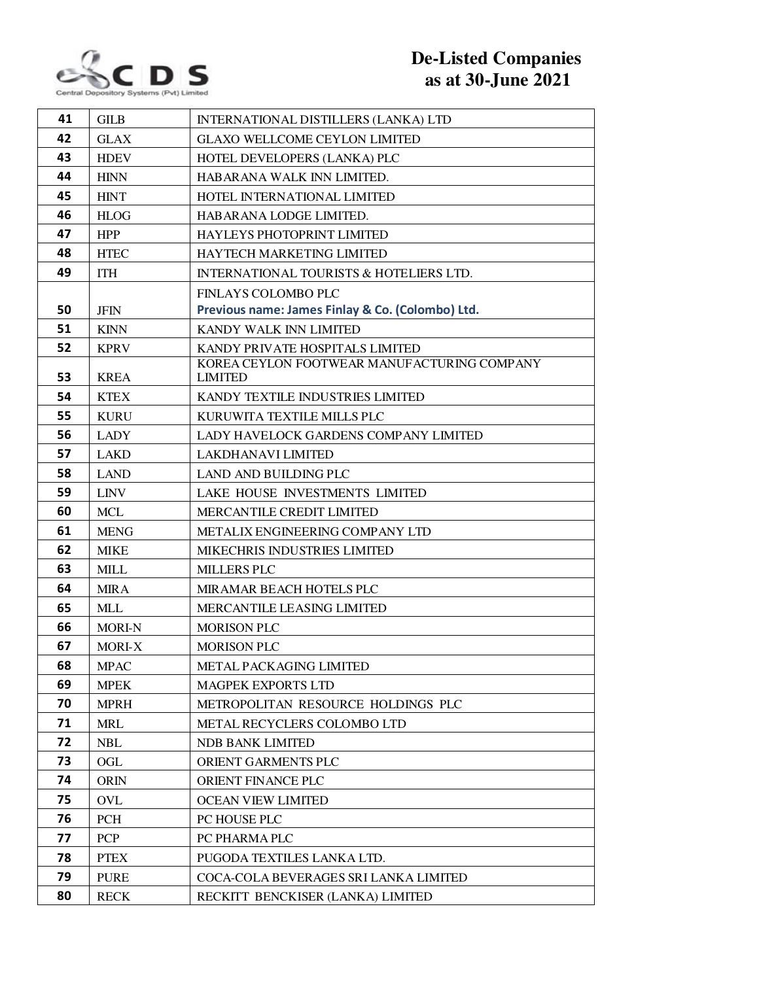

## **De-Listed Companies as at 30-June 2021**

| 41 | <b>GILB</b>   | INTERNATIONAL DISTILLERS (LANKA) LTD                          |
|----|---------------|---------------------------------------------------------------|
| 42 | <b>GLAX</b>   | <b>GLAXO WELLCOME CEYLON LIMITED</b>                          |
| 43 | <b>HDEV</b>   | HOTEL DEVELOPERS (LANKA) PLC                                  |
| 44 | <b>HINN</b>   | HABARANA WALK INN LIMITED.                                    |
| 45 | <b>HINT</b>   | HOTEL INTERNATIONAL LIMITED                                   |
| 46 | <b>HLOG</b>   | HABARANA LODGE LIMITED.                                       |
| 47 | <b>HPP</b>    | <b>HAYLEYS PHOTOPRINT LIMITED</b>                             |
| 48 | <b>HTEC</b>   | HAYTECH MARKETING LIMITED                                     |
| 49 | <b>ITH</b>    | <b>INTERNATIONAL TOURISTS &amp; HOTELIERS LTD.</b>            |
|    |               | <b>FINLAYS COLOMBO PLC</b>                                    |
| 50 | <b>JFIN</b>   | Previous name: James Finlay & Co. (Colombo) Ltd.              |
| 51 | <b>KINN</b>   | KANDY WALK INN LIMITED                                        |
| 52 | <b>KPRV</b>   | KANDY PRIVATE HOSPITALS LIMITED                               |
| 53 | <b>KREA</b>   | KOREA CEYLON FOOTWEAR MANUFACTURING COMPANY<br><b>LIMITED</b> |
| 54 | <b>KTEX</b>   | KANDY TEXTILE INDUSTRIES LIMITED                              |
| 55 | <b>KURU</b>   | KURUWITA TEXTILE MILLS PLC                                    |
| 56 | <b>LADY</b>   | LADY HAVELOCK GARDENS COMPANY LIMITED                         |
| 57 | <b>LAKD</b>   | LAKDHANAVI LIMITED                                            |
| 58 | <b>LAND</b>   | LAND AND BUILDING PLC                                         |
| 59 | <b>LINV</b>   | LAKE HOUSE INVESTMENTS LIMITED                                |
| 60 | <b>MCL</b>    | MERCANTILE CREDIT LIMITED                                     |
| 61 | <b>MENG</b>   | METALIX ENGINEERING COMPANY LTD                               |
| 62 | <b>MIKE</b>   | MIKECHRIS INDUSTRIES LIMITED                                  |
| 63 | <b>MILL</b>   | <b>MILLERS PLC</b>                                            |
| 64 | <b>MIRA</b>   | MIRAMAR BEACH HOTELS PLC                                      |
| 65 | <b>MLL</b>    | MERCANTILE LEASING LIMITED                                    |
| 66 | <b>MORI-N</b> | <b>MORISON PLC</b>                                            |
| 67 | <b>MORI-X</b> | <b>MORISON PLC</b>                                            |
| 68 | <b>MPAC</b>   | METAL PACKAGING LIMITED                                       |
| 69 | <b>MPEK</b>   | <b>MAGPEK EXPORTS LTD</b>                                     |
| 70 | <b>MPRH</b>   | METROPOLITAN RESOURCE HOLDINGS PLC                            |
| 71 | <b>MRL</b>    | METAL RECYCLERS COLOMBO LTD                                   |
| 72 | <b>NBL</b>    | <b>NDB BANK LIMITED</b>                                       |
| 73 | OGL           | ORIENT GARMENTS PLC                                           |
| 74 | <b>ORIN</b>   | ORIENT FINANCE PLC                                            |
| 75 | <b>OVL</b>    | <b>OCEAN VIEW LIMITED</b>                                     |
| 76 | <b>PCH</b>    | PC HOUSE PLC                                                  |
| 77 | <b>PCP</b>    | PC PHARMA PLC                                                 |
| 78 | <b>PTEX</b>   | PUGODA TEXTILES LANKA LTD.                                    |
| 79 | <b>PURE</b>   | COCA-COLA BEVERAGES SRI LANKA LIMITED                         |
| 80 | <b>RECK</b>   | RECKITT BENCKISER (LANKA) LIMITED                             |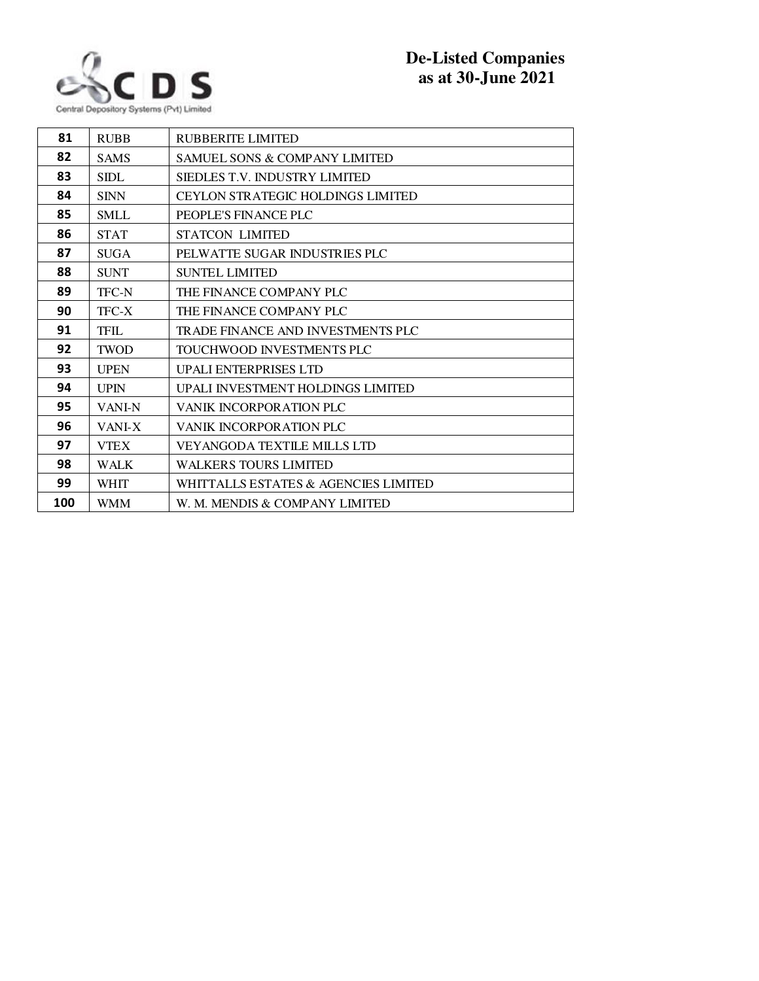

| <b>RUBB</b>   | RUBBERITE LIMITED                        |
|---------------|------------------------------------------|
| <b>SAMS</b>   | <b>SAMUEL SONS &amp; COMPANY LIMITED</b> |
| <b>SIDL</b>   | SIEDLES T.V. INDUSTRY LIMITED            |
| <b>SINN</b>   | <b>CEYLON STRATEGIC HOLDINGS LIMITED</b> |
| <b>SMLL</b>   | PEOPLE'S FINANCE PLC                     |
| <b>STAT</b>   | <b>STATCON LIMITED</b>                   |
| <b>SUGA</b>   | PELWATTE SUGAR INDUSTRIES PLC            |
| <b>SUNT</b>   | <b>SUNTEL LIMITED</b>                    |
| <b>TFC-N</b>  | THE FINANCE COMPANY PLC                  |
| TFC-X         | THE FINANCE COMPANY PLC                  |
| <b>TFIL</b>   | TRADE FINANCE AND INVESTMENTS PLC        |
| <b>TWOD</b>   | TOUCHWOOD INVESTMENTS PLC                |
| <b>UPEN</b>   | <b>UPALI ENTERPRISES LTD</b>             |
| <b>UPIN</b>   | UPALI INVESTMENT HOLDINGS LIMITED        |
| <b>VANI-N</b> | VANIK INCORPORATION PLC                  |
| VANI-X        | VANIK INCORPORATION PLC                  |
| <b>VTEX</b>   | <b>VEYANGODA TEXTILE MILLS LTD</b>       |
| <b>WALK</b>   | <b>WALKERS TOURS LIMITED</b>             |
| <b>WHIT</b>   | WHITTALLS ESTATES & AGENCIES LIMITED     |
| <b>WMM</b>    | W. M. MENDIS & COMPANY LIMITED           |
|               |                                          |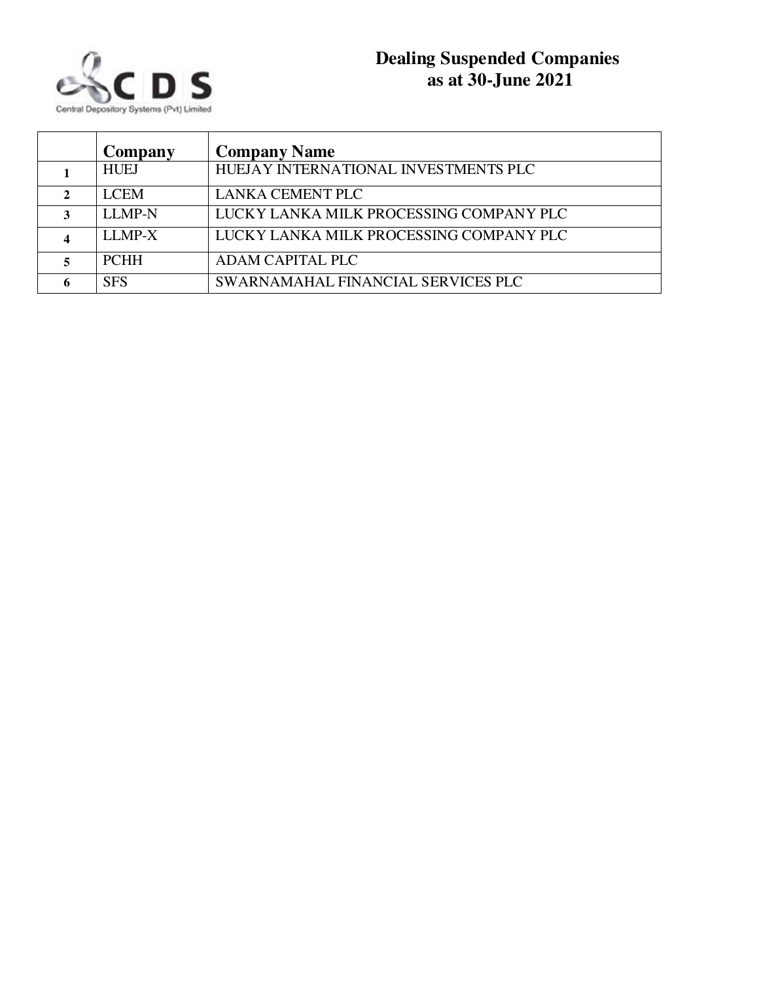

| Company       | <b>Company Name</b>                     |
|---------------|-----------------------------------------|
| <b>HUEJ</b>   | HUEJAY INTERNATIONAL INVESTMENTS PLC    |
| <b>LCEM</b>   | <b>LANKA CEMENT PLC</b>                 |
| <b>LLMP-N</b> | LUCKY LANKA MILK PROCESSING COMPANY PLC |
| LLMP-X        | LUCKY LANKA MILK PROCESSING COMPANY PLC |
| <b>PCHH</b>   | <b>ADAM CAPITAL PLC</b>                 |
| <b>SFS</b>    | SWARNAMAHAL FINANCIAL SERVICES PLC      |